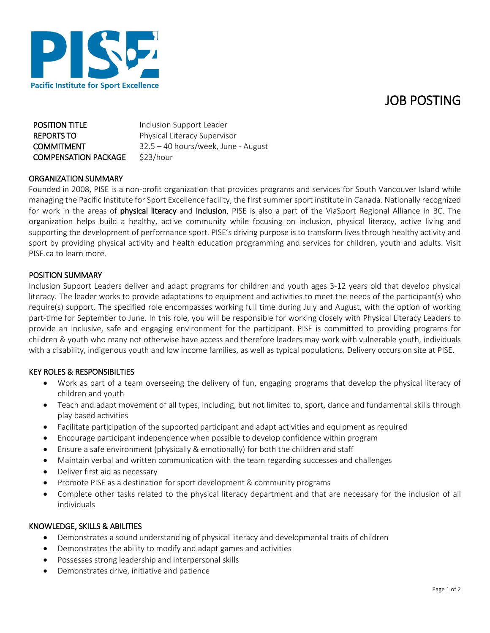

| <b>Pacific Institute for Sport Excellence</b> |
|-----------------------------------------------|

| <b>POSITION TITLE</b>       | Inclusion Support Leader            |
|-----------------------------|-------------------------------------|
| <b>REPORTS TO</b>           | Physical Literacy Supervisor        |
| <b>COMMITMENT</b>           | 32.5 – 40 hours/week, June - August |
| <b>COMPENSATION PACKAGE</b> | \$23/hour                           |

### ORGANIZATION SUMMARY

Founded in 2008, PISE is a non-profit organization that provides programs and services for South Vancouver Island while managing the Pacific Institute for Sport Excellence facility, the first summer sport institute in Canada. Nationally recognized for work in the areas of physical literacy and inclusion, PISE is also a part of the ViaSport Regional Alliance in BC. The organization helps build a healthy, active community while focusing on inclusion, physical literacy, active living and supporting the development of performance sport. PISE's driving purpose is to transform lives through healthy activity and sport by providing physical activity and health education programming and services for children, youth and adults. Visit PISE.ca to learn more.

#### POSITION SUMMARY

Inclusion Support Leaders deliver and adapt programs for children and youth ages 3-12 years old that develop physical literacy. The leader works to provide adaptations to equipment and activities to meet the needs of the participant(s) who require(s) support. The specified role encompasses working full time during July and August, with the option of working part-time for September to June. In this role, you will be responsible for working closely with Physical Literacy Leaders to provide an inclusive, safe and engaging environment for the participant. PISE is committed to providing programs for children & youth who many not otherwise have access and therefore leaders may work with vulnerable youth, individuals with a disability, indigenous youth and low income families, as well as typical populations. Delivery occurs on site at PISE.

## KEY ROLES & RESPONSIBILTIES

- Work as part of a team overseeing the delivery of fun, engaging programs that develop the physical literacy of children and youth
- Teach and adapt movement of all types, including, but not limited to, sport, dance and fundamental skills through play based activities
- Facilitate participation of the supported participant and adapt activities and equipment as required
- Encourage participant independence when possible to develop confidence within program
- Ensure a safe environment (physically & emotionally) for both the children and staff
- Maintain verbal and written communication with the team regarding successes and challenges
- Deliver first aid as necessary
- Promote PISE as a destination for sport development & community programs
- Complete other tasks related to the physical literacy department and that are necessary for the inclusion of all individuals

#### KNOWLEDGE, SKILLS & ABILITIES

- Demonstrates a sound understanding of physical literacy and developmental traits of children
- Demonstrates the ability to modify and adapt games and activities
- Possesses strong leadership and interpersonal skills
- Demonstrates drive, initiative and patience